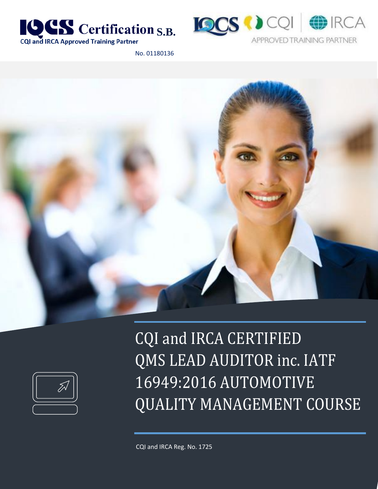



No. 01180136





CQI and IRCA CERTIFIED QMS LEAD AUDITOR inc. IATF 16949:2016 AUTOMOTIVE QUALITY MANAGEMENT COURSE

CQI and IRCA Reg. No. 1725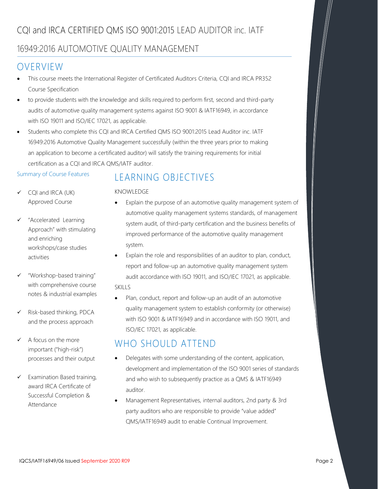# CQI and IRCA CERTIFIED QMS ISO 9001:2015 LEAD AUDITOR inc. IATF

### 16949:2016 AUTOMOTIVE QUALITY MANAGEMENT

# OVERVIEW

- This course meets the International Register of Certificated Auditors Criteria, CQI and IRCA PR352 Course Specification
- to provide students with the knowledge and skills required to perform first, second and third-party audits of automotive quality management systems against ISO 9001 & IATF16949, in accordance with ISO 19011 and ISO/IEC 17021, as applicable.
- Students who complete this CQI and IRCA Certified QMS ISO 9001:2015 Lead Auditor inc. IATF 16949:2016 Automotive Quality Management successfully (within the three years prior to making an application to become a certificated auditor) will satisfy the training requirements for initial certification as a CQI and IRCA QMS/IATF auditor.

#### Summary of Course Features

# LEARNING OBJECTIVES

### $\checkmark$  CQI and IRCA (UK) Approved Course

- "Accelerated Learning Approach" with stimulating and enriching workshops/case studies activities
- "Workshop-based training" with comprehensive course notes & industrial examples
- Risk-based thinking, PDCA and the process approach
- A focus on the more important ("high-risk") processes and their output
- Examination Based training, award IRCA Certificate of Successful Completion & Attendance

### KNOWLEDGE

- Explain the purpose of an automotive quality management system of automotive quality management systems standards, of management system audit, of third-party certification and the business benefits of improved performance of the automotive quality management system.
- Explain the role and responsibilities of an auditor to plan, conduct, report and follow-up an automotive quality management system audit accordance with ISO 19011, and ISO/IEC 17021, as applicable. SKILLS
- Plan, conduct, report and follow-up an audit of an automotive quality management system to establish conformity (or otherwise) with ISO 9001 & IATF16949 and in accordance with ISO 19011, and ISO/IEC 17021, as applicable.

# WHO SHOULD ATTEND

- Delegates with some understanding of the content, application, development and implementation of the ISO 9001 series of standards and who wish to subsequently practice as a QMS & IATF16949 auditor.
- Management Representatives, internal auditors, 2nd party & 3rd party auditors who are responsible to provide "value added" QMS/IATF16949 audit to enable Continual Improvement.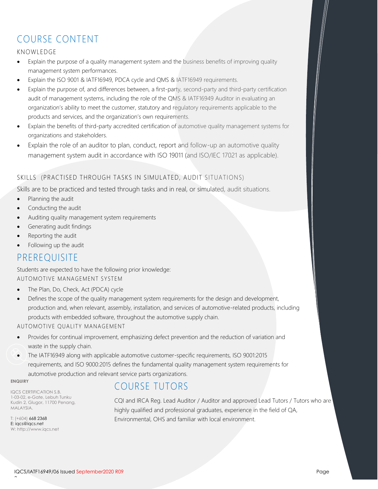# COURSE CONTENT

### KNOWLEDGE

- Explain the purpose of a quality management system and the business benefits of improving quality management system performances.
- Explain the ISO 9001 & IATF16949, PDCA cycle and QMS & IATF16949 requirements.
- Explain the purpose of, and differences between, a first-party, second-party and third-party certification audit of management systems, including the role of the QMS & IATF16949 Auditor in evaluating an organization's ability to meet the customer, statutory and regulatory requirements applicable to the products and services, and the organization's own requirements.
- Explain the benefits of third-party accredited certification of automotive quality management systems for organizations and stakeholders.
- Explain the role of an auditor to plan, conduct, report and follow-up an automotive quality management system audit in accordance with ISO 19011 (and ISO/IEC 17021 as applicable).

### SKILLS (PRACTISED THROUGH TASKS IN SIMULATED, AUDIT SITUATIONS)

Skills are to be practiced and tested through tasks and in real, or simulated, audit situations.

- Planning the audit
- Conducting the audit
- Auditing quality management system requirements
- Generating audit findings
- Reporting the audit
- Following up the audit

## PREREQUISITE

Students are expected to have the following prior knowledge: AUTOMOTIVE MANAGEMENT SYSTEM

- The Plan, Do, Check, Act (PDCA) cycle
- Defines the scope of the quality management system requirements for the design and development, production and, when relevant, assembly, installation, and services of automotive-related products, including products with embedded software, throughout the automotive supply chain.

#### AUTOMOTIVE QUALITY MANAGEMENT

- Provides for continual improvement, emphasizing defect prevention and the reduction of variation and waste in the supply chain.
- $\bullet$  The IATF16949 along with applicable automotive customer-specific requirements, ISO 9001:2015 requirements, and ISO 9000:2015 defines the fundamental quality management system requirements for automotive production and relevant service parts organizations.

**ENQUIRY**

IQCS CERTIFICATION S.B. 1-03-02, e-Gate, Lebuh Tunku Kudin 2, Glugor, 11700 Penang, MALAYSIA.

T: (+604) 668 2368 E: [iqcs@iqcs.net](mailto:iqcs@iqcs.net)  W: [http://www.iqcs.net](http://www.iqcs.net/)

## COURSE TUTORS

CQI and IRCA Reg. Lead Auditor / Auditor and approved Lead Tutors / Tutors who are highly qualified and professional graduates, experience in the field of QA, Environmental, OHS and familiar with local environment.